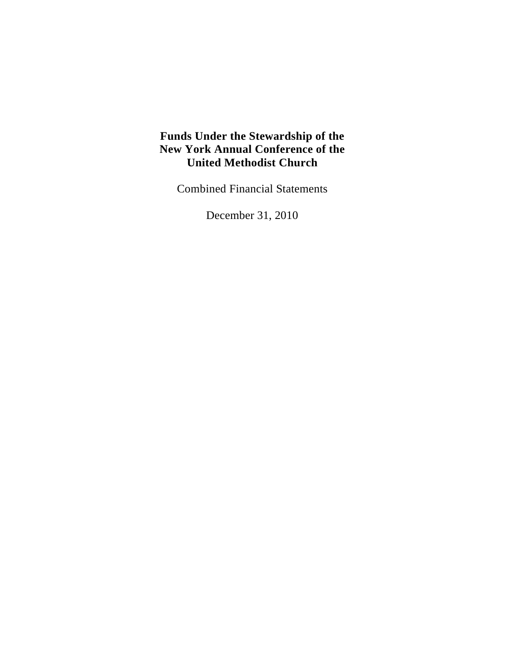Combined Financial Statements

December 31, 2010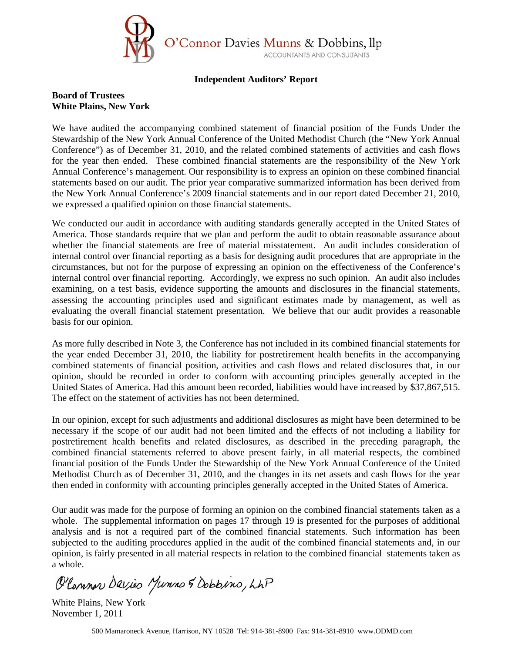

#### **Independent Auditors' Report**

#### **Board of Trustees White Plains, New York**

We have audited the accompanying combined statement of financial position of the Funds Under the Stewardship of the New York Annual Conference of the United Methodist Church (the "New York Annual Conference") as of December 31, 2010, and the related combined statements of activities and cash flows for the year then ended. These combined financial statements are the responsibility of the New York Annual Conference's management. Our responsibility is to express an opinion on these combined financial statements based on our audit. The prior year comparative summarized information has been derived from the New York Annual Conference's 2009 financial statements and in our report dated December 21, 2010, we expressed a qualified opinion on those financial statements.

We conducted our audit in accordance with auditing standards generally accepted in the United States of America. Those standards require that we plan and perform the audit to obtain reasonable assurance about whether the financial statements are free of material misstatement. An audit includes consideration of internal control over financial reporting as a basis for designing audit procedures that are appropriate in the circumstances, but not for the purpose of expressing an opinion on the effectiveness of the Conference's internal control over financial reporting. Accordingly, we express no such opinion. An audit also includes examining, on a test basis, evidence supporting the amounts and disclosures in the financial statements, assessing the accounting principles used and significant estimates made by management, as well as evaluating the overall financial statement presentation. We believe that our audit provides a reasonable basis for our opinion.

As more fully described in Note 3, the Conference has not included in its combined financial statements for the year ended December 31, 2010, the liability for postretirement health benefits in the accompanying combined statements of financial position, activities and cash flows and related disclosures that, in our opinion, should be recorded in order to conform with accounting principles generally accepted in the United States of America. Had this amount been recorded, liabilities would have increased by \$37,867,515. The effect on the statement of activities has not been determined.

In our opinion, except for such adjustments and additional disclosures as might have been determined to be necessary if the scope of our audit had not been limited and the effects of not including a liability for postretirement health benefits and related disclosures, as described in the preceding paragraph, the combined financial statements referred to above present fairly, in all material respects, the combined financial position of the Funds Under the Stewardship of the New York Annual Conference of the United Methodist Church as of December 31, 2010, and the changes in its net assets and cash flows for the year then ended in conformity with accounting principles generally accepted in the United States of America.

Our audit was made for the purpose of forming an opinion on the combined financial statements taken as a whole. The supplemental information on pages 17 through 19 is presented for the purposes of additional analysis and is not a required part of the combined financial statements. Such information has been subjected to the auditing procedures applied in the audit of the combined financial statements and, in our opinion, is fairly presented in all material respects in relation to the combined financial statements taken as a whole.

O'Common Davies Munns & Dobbins, LAP

White Plains, New York November 1, 2011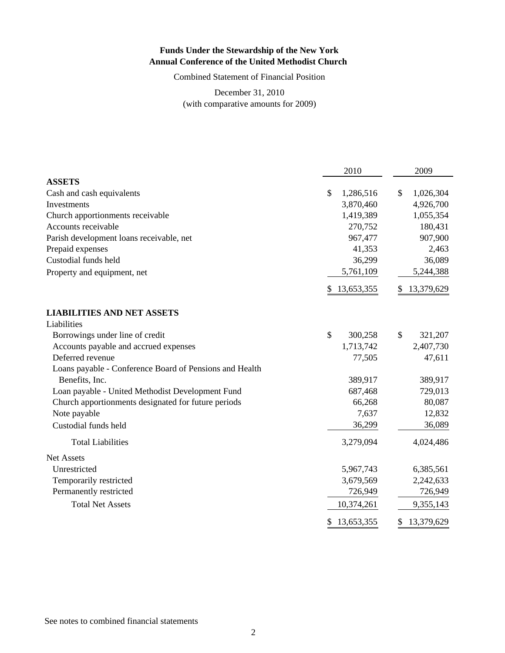Combined Statement of Financial Position

December 31, 2010 (with comparative amounts for 2009)

|                                                         | 2010             | 2009             |
|---------------------------------------------------------|------------------|------------------|
| <b>ASSETS</b>                                           |                  |                  |
| Cash and cash equivalents                               | \$<br>1,286,516  | \$<br>1,026,304  |
| Investments                                             | 3,870,460        | 4,926,700        |
| Church apportionments receivable                        | 1,419,389        | 1,055,354        |
| Accounts receivable                                     | 270,752          | 180,431          |
| Parish development loans receivable, net                | 967,477          | 907,900          |
| Prepaid expenses                                        | 41,353           | 2,463            |
| Custodial funds held                                    | 36,299           | 36,089           |
| Property and equipment, net                             | 5,761,109        | 5,244,388        |
|                                                         | 13,653,355<br>S. | \$<br>13,379,629 |
| <b>LIABILITIES AND NET ASSETS</b>                       |                  |                  |
| Liabilities                                             |                  |                  |
| Borrowings under line of credit                         | \$<br>300,258    | \$<br>321,207    |
| Accounts payable and accrued expenses                   | 1,713,742        | 2,407,730        |
| Deferred revenue                                        | 77,505           | 47,611           |
| Loans payable - Conference Board of Pensions and Health |                  |                  |
| Benefits, Inc.                                          | 389,917          | 389,917          |
| Loan payable - United Methodist Development Fund        | 687,468          | 729,013          |
| Church apportionments designated for future periods     | 66,268           | 80,087           |
| Note payable                                            | 7,637            | 12,832           |
| Custodial funds held                                    | 36,299           | 36,089           |
| <b>Total Liabilities</b>                                | 3,279,094        | 4,024,486        |
| <b>Net Assets</b>                                       |                  |                  |
| Unrestricted                                            | 5,967,743        | 6,385,561        |
| Temporarily restricted                                  | 3,679,569        | 2,242,633        |
| Permanently restricted                                  | 726,949          | 726,949          |
| <b>Total Net Assets</b>                                 | 10,374,261       | 9,355,143        |
|                                                         | 13,653,355<br>\$ | 13,379,629<br>\$ |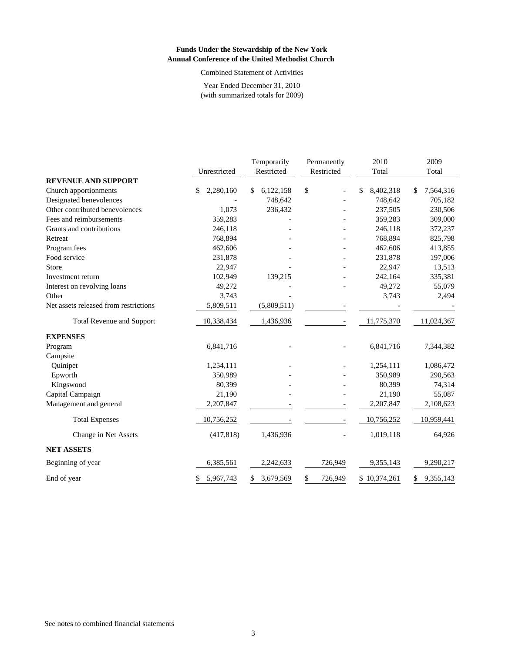Combined Statement of Activities

Year Ended December 31, 2010 (with summarized totals for 2009)

|                                       | Unrestricted    | Temporarily<br>Restricted | Permanently<br>Restricted | 2010<br>Total   | 2009<br>Total   |
|---------------------------------------|-----------------|---------------------------|---------------------------|-----------------|-----------------|
| <b>REVENUE AND SUPPORT</b>            |                 |                           |                           |                 |                 |
| Church apportionments                 | 2,280,160<br>\$ | \$<br>6,122,158           | \$<br>$\overline{a}$      | 8,402,318<br>\$ | 7,564,316<br>\$ |
| Designated benevolences               |                 | 748,642                   |                           | 748,642         | 705,182         |
| Other contributed benevolences        | 1,073           | 236,432                   |                           | 237,505         | 230,506         |
| Fees and reimbursements               | 359,283         |                           |                           | 359,283         | 309,000         |
| Grants and contributions              | 246,118         |                           |                           | 246,118         | 372,237         |
| Retreat                               | 768,894         |                           |                           | 768,894         | 825,798         |
| Program fees                          | 462,606         |                           |                           | 462,606         | 413,855         |
| Food service                          | 231,878         |                           |                           | 231,878         | 197,006         |
| Store                                 | 22,947          |                           |                           | 22,947          | 13,513          |
| Investment return                     | 102,949         | 139,215                   |                           | 242,164         | 335,381         |
| Interest on revolving loans           | 49,272          |                           |                           | 49,272          | 55,079          |
| Other                                 | 3,743           |                           |                           | 3,743           | 2,494           |
| Net assets released from restrictions | 5,809,511       | (5,809,511)               | $\overline{\phantom{a}}$  |                 |                 |
| <b>Total Revenue and Support</b>      | 10,338,434      | 1,436,936                 |                           | 11,775,370      | 11,024,367      |
| <b>EXPENSES</b>                       |                 |                           |                           |                 |                 |
| Program                               | 6,841,716       |                           |                           | 6,841,716       | 7,344,382       |
| Campsite                              |                 |                           |                           |                 |                 |
| Quinipet                              | 1,254,111       |                           |                           | 1,254,111       | 1,086,472       |
| Epworth                               | 350,989         |                           |                           | 350,989         | 290,563         |
| Kingswood                             | 80,399          |                           |                           | 80,399          | 74,314          |
| Capital Campaign                      | 21,190          |                           |                           | 21,190          | 55,087          |
| Management and general                | 2,207,847       |                           |                           | 2,207,847       | 2,108,623       |
| <b>Total Expenses</b>                 | 10,756,252      |                           | $\overline{\phantom{a}}$  | 10,756,252      | 10,959,441      |
| Change in Net Assets                  | (417, 818)      | 1,436,936                 |                           | 1,019,118       | 64,926          |
| <b>NET ASSETS</b>                     |                 |                           |                           |                 |                 |
| Beginning of year                     | 6,385,561       | 2,242,633                 | 726,949                   | 9,355,143       | 9,290,217       |
| End of year                           | 5,967,743<br>\$ | 3,679,569<br>\$           | \$<br>726,949             | \$10,374,261    | 9,355,143<br>\$ |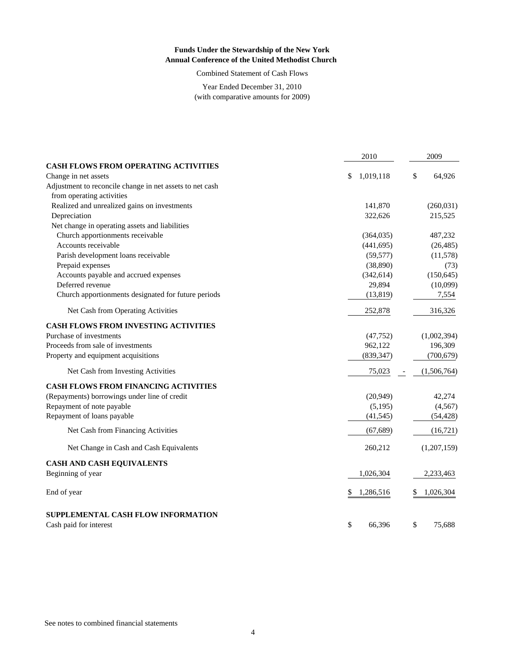Combined Statement of Cash Flows

Year Ended December 31, 2010 (with comparative amounts for 2009)

|                                                          | 2010            | 2009            |  |
|----------------------------------------------------------|-----------------|-----------------|--|
| <b>CASH FLOWS FROM OPERATING ACTIVITIES</b>              |                 |                 |  |
| Change in net assets                                     | 1,019,118<br>\$ | \$<br>64,926    |  |
| Adjustment to reconcile change in net assets to net cash |                 |                 |  |
| from operating activities                                |                 |                 |  |
| Realized and unrealized gains on investments             | 141,870         | (260, 031)      |  |
| Depreciation                                             | 322,626         | 215,525         |  |
| Net change in operating assets and liabilities           |                 |                 |  |
| Church apportionments receivable                         | (364, 035)      | 487,232         |  |
| Accounts receivable                                      | (441, 695)      | (26, 485)       |  |
| Parish development loans receivable                      | (59, 577)       | (11,578)        |  |
| Prepaid expenses                                         | (38, 890)       | (73)            |  |
| Accounts payable and accrued expenses                    | (342, 614)      | (150, 645)      |  |
| Deferred revenue                                         | 29,894          | (10,099)        |  |
| Church apportionments designated for future periods      | (13, 819)       | 7,554           |  |
| Net Cash from Operating Activities                       | 252,878         | 316,326         |  |
| CASH FLOWS FROM INVESTING ACTIVITIES                     |                 |                 |  |
| Purchase of investments                                  | (47, 752)       | (1,002,394)     |  |
| Proceeds from sale of investments                        | 962,122         | 196,309         |  |
| Property and equipment acquisitions                      | (839, 347)      | (700, 679)      |  |
| Net Cash from Investing Activities                       | 75,023          | (1,506,764)     |  |
| <b>CASH FLOWS FROM FINANCING ACTIVITIES</b>              |                 |                 |  |
| (Repayments) borrowings under line of credit             | (20, 949)       | 42,274          |  |
| Repayment of note payable                                | (5,195)         | (4, 567)        |  |
| Repayment of loans payable                               | (41, 545)       | (54, 428)       |  |
| Net Cash from Financing Activities                       | (67, 689)       | (16, 721)       |  |
| Net Change in Cash and Cash Equivalents                  | 260,212         | (1,207,159)     |  |
| <b>CASH AND CASH EQUIVALENTS</b>                         |                 |                 |  |
| Beginning of year                                        | 1,026,304       | 2,233,463       |  |
| End of year                                              | 1,286,516<br>\$ | \$<br>1,026,304 |  |
| <b>SUPPLEMENTAL CASH FLOW INFORMATION</b>                |                 |                 |  |
| Cash paid for interest                                   | \$<br>66,396    | \$<br>75,688    |  |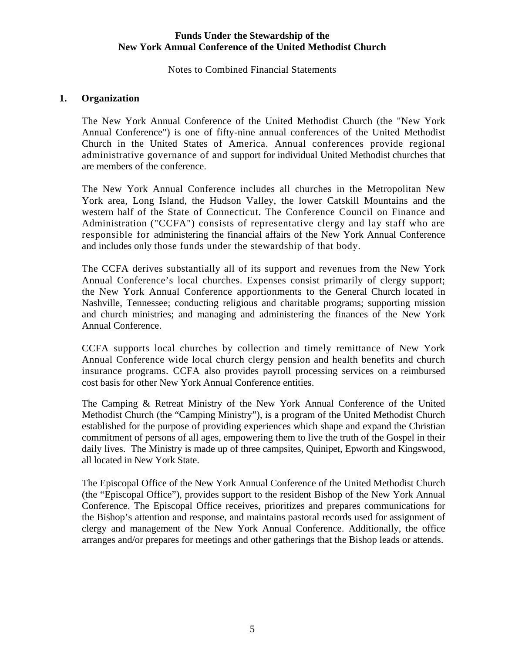Notes to Combined Financial Statements

#### **1. Organization**

The New York Annual Conference of the United Methodist Church (the "New York Annual Conference") is one of fifty-nine annual conferences of the United Methodist Church in the United States of America. Annual conferences provide regional administrative governance of and support for individual United Methodist churches that are members of the conference.

The New York Annual Conference includes all churches in the Metropolitan New York area, Long Island, the Hudson Valley, the lower Catskill Mountains and the western half of the State of Connecticut. The Conference Council on Finance and Administration ("CCFA") consists of representative clergy and lay staff who are responsible for administering the financial affairs of the New York Annual Conference and includes only those funds under the stewardship of that body.

The CCFA derives substantially all of its support and revenues from the New York Annual Conference's local churches. Expenses consist primarily of clergy support; the New York Annual Conference apportionments to the General Church located in Nashville, Tennessee; conducting religious and charitable programs; supporting mission and church ministries; and managing and administering the finances of the New York Annual Conference.

CCFA supports local churches by collection and timely remittance of New York Annual Conference wide local church clergy pension and health benefits and church insurance programs. CCFA also provides payroll processing services on a reimbursed cost basis for other New York Annual Conference entities.

The Camping & Retreat Ministry of the New York Annual Conference of the United Methodist Church (the "Camping Ministry"), is a program of the United Methodist Church established for the purpose of providing experiences which shape and expand the Christian commitment of persons of all ages, empowering them to live the truth of the Gospel in their daily lives. The Ministry is made up of three campsites, Quinipet, Epworth and Kingswood, all located in New York State.

The Episcopal Office of the New York Annual Conference of the United Methodist Church (the "Episcopal Office"), provides support to the resident Bishop of the New York Annual Conference. The Episcopal Office receives, prioritizes and prepares communications for the Bishop's attention and response, and maintains pastoral records used for assignment of clergy and management of the New York Annual Conference. Additionally, the office arranges and/or prepares for meetings and other gatherings that the Bishop leads or attends.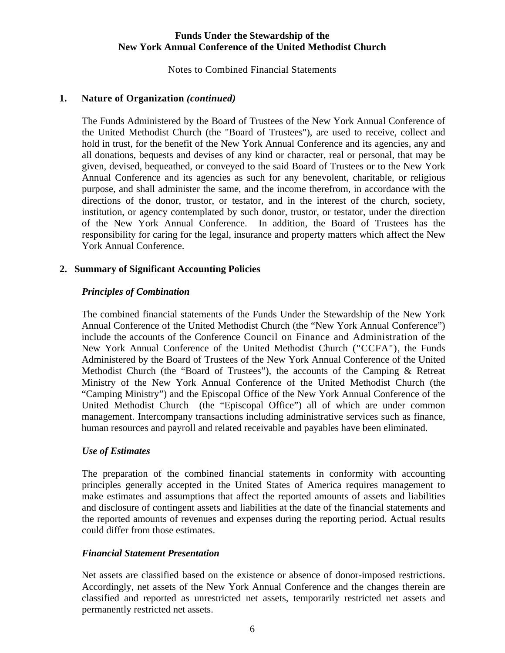Notes to Combined Financial Statements

# **1. Nature of Organization** *(continued)*

The Funds Administered by the Board of Trustees of the New York Annual Conference of the United Methodist Church (the "Board of Trustees"), are used to receive, collect and hold in trust, for the benefit of the New York Annual Conference and its agencies, any and all donations, bequests and devises of any kind or character, real or personal, that may be given, devised, bequeathed, or conveyed to the said Board of Trustees or to the New York Annual Conference and its agencies as such for any benevolent, charitable, or religious purpose, and shall administer the same, and the income therefrom, in accordance with the directions of the donor, trustor, or testator, and in the interest of the church, society, institution, or agency contemplated by such donor, trustor, or testator, under the direction of the New York Annual Conference. In addition, the Board of Trustees has the responsibility for caring for the legal, insurance and property matters which affect the New York Annual Conference.

### **2. Summary of Significant Accounting Policies**

### *Principles of Combination*

The combined financial statements of the Funds Under the Stewardship of the New York Annual Conference of the United Methodist Church (the "New York Annual Conference") include the accounts of the Conference Council on Finance and Administration of the New York Annual Conference of the United Methodist Church ("CCFA"), the Funds Administered by the Board of Trustees of the New York Annual Conference of the United Methodist Church (the "Board of Trustees"), the accounts of the Camping & Retreat Ministry of the New York Annual Conference of the United Methodist Church (the "Camping Ministry") and the Episcopal Office of the New York Annual Conference of the United Methodist Church (the "Episcopal Office") all of which are under common management. Intercompany transactions including administrative services such as finance, human resources and payroll and related receivable and payables have been eliminated.

#### *Use of Estimates*

The preparation of the combined financial statements in conformity with accounting principles generally accepted in the United States of America requires management to make estimates and assumptions that affect the reported amounts of assets and liabilities and disclosure of contingent assets and liabilities at the date of the financial statements and the reported amounts of revenues and expenses during the reporting period. Actual results could differ from those estimates.

#### *Financial Statement Presentation*

 Net assets are classified based on the existence or absence of donor-imposed restrictions. Accordingly, net assets of the New York Annual Conference and the changes therein are classified and reported as unrestricted net assets, temporarily restricted net assets and permanently restricted net assets.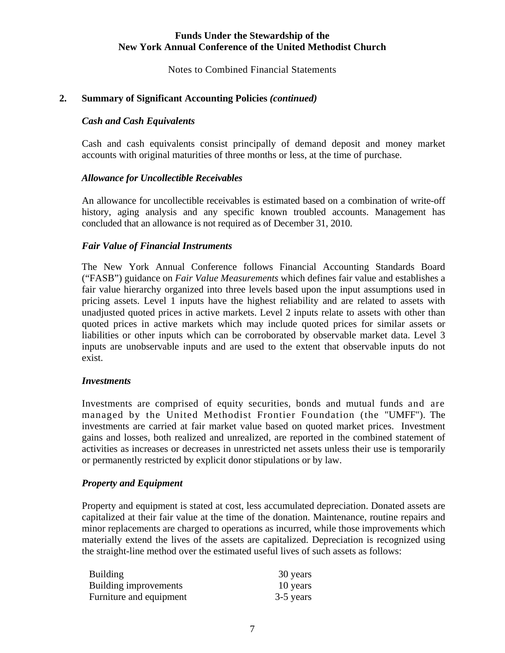Notes to Combined Financial Statements

### **2. Summary of Significant Accounting Policies** *(continued)*

### *Cash and Cash Equivalents*

Cash and cash equivalents consist principally of demand deposit and money market accounts with original maturities of three months or less, at the time of purchase.

#### *Allowance for Uncollectible Receivables*

An allowance for uncollectible receivables is estimated based on a combination of write-off history, aging analysis and any specific known troubled accounts. Management has concluded that an allowance is not required as of December 31, 2010.

#### *Fair Value of Financial Instruments*

 The New York Annual Conference follows Financial Accounting Standards Board ("FASB") guidance on *Fair Value Measurements* which defines fair value and establishes a fair value hierarchy organized into three levels based upon the input assumptions used in pricing assets. Level 1 inputs have the highest reliability and are related to assets with unadjusted quoted prices in active markets. Level 2 inputs relate to assets with other than quoted prices in active markets which may include quoted prices for similar assets or liabilities or other inputs which can be corroborated by observable market data. Level 3 inputs are unobservable inputs and are used to the extent that observable inputs do not exist.

#### *Investments*

Investments are comprised of equity securities, bonds and mutual funds and are managed by the United Methodist Frontier Foundation (the "UMFF"). The investments are carried at fair market value based on quoted market prices. Investment gains and losses, both realized and unrealized, are reported in the combined statement of activities as increases or decreases in unrestricted net assets unless their use is temporarily or permanently restricted by explicit donor stipulations or by law.

#### *Property and Equipment*

Property and equipment is stated at cost, less accumulated depreciation. Donated assets are capitalized at their fair value at the time of the donation. Maintenance, routine repairs and minor replacements are charged to operations as incurred, while those improvements which materially extend the lives of the assets are capitalized. Depreciation is recognized using the straight-line method over the estimated useful lives of such assets as follows:

| Building                | 30 years  |
|-------------------------|-----------|
| Building improvements   | 10 years  |
| Furniture and equipment | 3-5 years |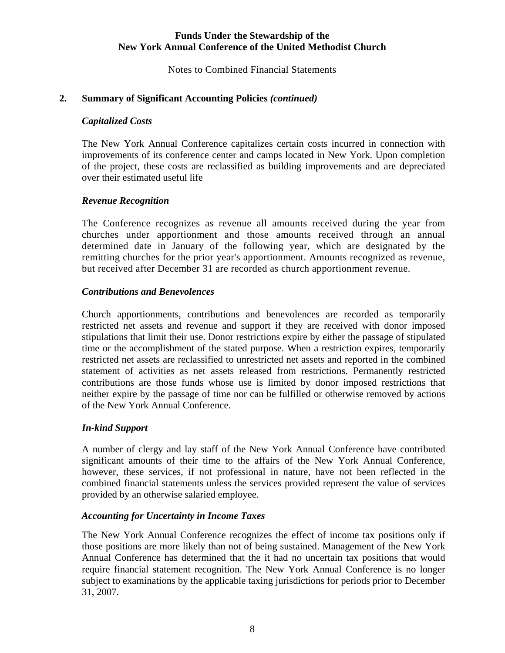Notes to Combined Financial Statements

#### **2. Summary of Significant Accounting Policies** *(continued)*

#### *Capitalized Costs*

The New York Annual Conference capitalizes certain costs incurred in connection with improvements of its conference center and camps located in New York. Upon completion of the project, these costs are reclassified as building improvements and are depreciated over their estimated useful life

#### *Revenue Recognition*

The Conference recognizes as revenue all amounts received during the year from churches under apportionment and those amounts received through an annual determined date in January of the following year, which are designated by the remitting churches for the prior year's apportionment. Amounts recognized as revenue, but received after December 31 are recorded as church apportionment revenue.

#### *Contributions and Benevolences*

Church apportionments, contributions and benevolences are recorded as temporarily restricted net assets and revenue and support if they are received with donor imposed stipulations that limit their use. Donor restrictions expire by either the passage of stipulated time or the accomplishment of the stated purpose. When a restriction expires, temporarily restricted net assets are reclassified to unrestricted net assets and reported in the combined statement of activities as net assets released from restrictions. Permanently restricted contributions are those funds whose use is limited by donor imposed restrictions that neither expire by the passage of time nor can be fulfilled or otherwise removed by actions of the New York Annual Conference.

#### *In-kind Support*

A number of clergy and lay staff of the New York Annual Conference have contributed significant amounts of their time to the affairs of the New York Annual Conference, however, these services, if not professional in nature, have not been reflected in the combined financial statements unless the services provided represent the value of services provided by an otherwise salaried employee.

#### *Accounting for Uncertainty in Income Taxes*

The New York Annual Conference recognizes the effect of income tax positions only if those positions are more likely than not of being sustained. Management of the New York Annual Conference has determined that the it had no uncertain tax positions that would require financial statement recognition. The New York Annual Conference is no longer subject to examinations by the applicable taxing jurisdictions for periods prior to December 31, 2007.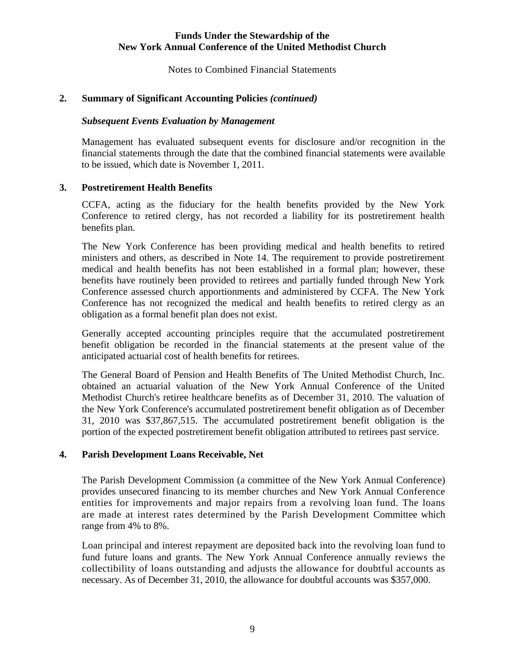Notes to Combined Financial Statements

### **2. Summary of Significant Accounting Policies** *(continued)*

#### *Subsequent Events Evaluation by Management*

Management has evaluated subsequent events for disclosure and/or recognition in the financial statements through the date that the combined financial statements were available to be issued, which date is November 1, 2011.

#### **3. Postretirement Health Benefits**

CCFA, acting as the fiduciary for the health benefits provided by the New York Conference to retired clergy, has not recorded a liability for its postretirement health benefits plan.

The New York Conference has been providing medical and health benefits to retired ministers and others, as described in Note 14. The requirement to provide postretirement medical and health benefits has not been established in a formal plan; however, these benefits have routinely been provided to retirees and partially funded through New York Conference assessed church apportionments and administered by CCFA. The New York Conference has not recognized the medical and health benefits to retired clergy as an obligation as a formal benefit plan does not exist.

Generally accepted accounting principles require that the accumulated postretirement benefit obligation be recorded in the financial statements at the present value of the anticipated actuarial cost of health benefits for retirees.

The General Board of Pension and Health Benefits of The United Methodist Church, Inc. obtained an actuarial valuation of the New York Annual Conference of the United Methodist Church's retiree healthcare benefits as of December 31, 2010. The valuation of the New York Conference's accumulated postretirement benefit obligation as of December 31, 2010 was \$37,867,515. The accumulated postretirement benefit obligation is the portion of the expected postretirement benefit obligation attributed to retirees past service.

#### **4. Parish Development Loans Receivable, Net**

The Parish Development Commission (a committee of the New York Annual Conference) provides unsecured financing to its member churches and New York Annual Conference entities for improvements and major repairs from a revolving loan fund. The loans are made at interest rates determined by the Parish Development Committee which range from 4% to 8%.

Loan principal and interest repayment are deposited back into the revolving loan fund to fund future loans and grants. The New York Annual Conference annually reviews the collectibility of loans outstanding and adjusts the allowance for doubtful accounts as necessary. As of December 31, 2010, the allowance for doubtful accounts was \$357,000.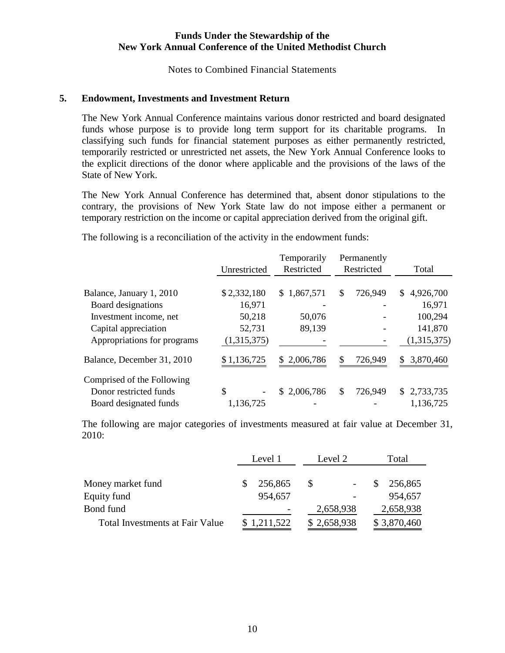Notes to Combined Financial Statements

#### **5. Endowment, Investments and Investment Return**

The New York Annual Conference maintains various donor restricted and board designated funds whose purpose is to provide long term support for its charitable programs. In classifying such funds for financial statement purposes as either permanently restricted, temporarily restricted or unrestricted net assets, the New York Annual Conference looks to the explicit directions of the donor where applicable and the provisions of the laws of the State of New York.

The New York Annual Conference has determined that, absent donor stipulations to the contrary, the provisions of New York State law do not impose either a permanent or temporary restriction on the income or capital appreciation derived from the original gift.

|                             |              | Temporarily | Permanently   |                 |
|-----------------------------|--------------|-------------|---------------|-----------------|
|                             | Unrestricted | Restricted  | Restricted    | Total           |
| Balance, January 1, 2010    | \$2,332,180  | \$1,867,571 | \$<br>726,949 | 4,926,700<br>\$ |
| Board designations          | 16,971       |             |               | 16,971          |
| Investment income, net      | 50,218       | 50,076      |               | 100,294         |
| Capital appreciation        | 52,731       | 89,139      |               | 141,870         |
| Appropriations for programs | (1,315,375)  |             |               | (1,315,375)     |
| Balance, December 31, 2010  | \$1,136,725  | \$2,006,786 | \$<br>726,949 | 3,870,460<br>S. |
| Comprised of the Following  |              |             |               |                 |
| Donor restricted funds      | \$           | \$2,006,786 | \$<br>726,949 | \$2,733,735     |
| Board designated funds      | 1,136,725    |             |               | 1,136,725       |

The following is a reconciliation of the activity in the endowment funds:

The following are major categories of investments measured at fair value at December 31, 2010:

|                                        | Level 1 |             | Level 2      |             | Total        |             |
|----------------------------------------|---------|-------------|--------------|-------------|--------------|-------------|
|                                        |         |             |              |             |              |             |
| Money market fund                      |         | 256,865     | <sup>S</sup> |             | <sup>S</sup> | 256,865     |
| Equity fund                            |         | 954,657     |              |             |              | 954,657     |
| Bond fund                              |         |             |              | 2,658,938   |              | 2,658,938   |
| <b>Total Investments at Fair Value</b> |         | \$1,211,522 |              | \$2,658,938 |              | \$3,870,460 |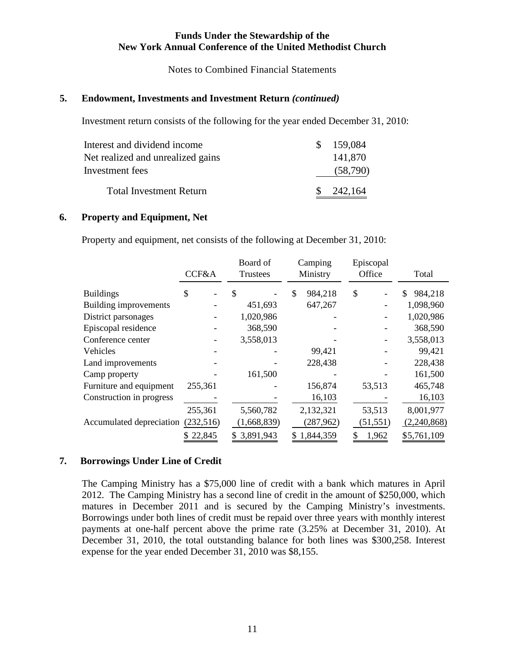Notes to Combined Financial Statements

# **5. Endowment, Investments and Investment Return** *(continued)*

Investment return consists of the following for the year ended December 31, 2010:

| Interest and dividend income      | \$159,084            |
|-----------------------------------|----------------------|
| Net realized and unrealized gains | 141,870              |
| Investment fees                   | (58,790)             |
| <b>Total Investment Return</b>    | $\frac{\$}{242,164}$ |

#### **6. Property and Equipment, Net**

Property and equipment, net consists of the following at December 31, 2010:

|                          | <b>CCF&amp;A</b> | Board of<br>Trustees | Camping<br>Ministry | Episcopal<br>Office | Total        |
|--------------------------|------------------|----------------------|---------------------|---------------------|--------------|
| <b>Buildings</b>         | \$               | S                    | 984,218<br>\$       | \$                  | 984,218<br>S |
| Building improvements    |                  | 451,693              | 647,267             |                     | 1,098,960    |
| District parsonages      |                  | 1,020,986            |                     |                     | 1,020,986    |
| Episcopal residence      |                  | 368,590              |                     |                     | 368,590      |
| Conference center        |                  | 3,558,013            |                     |                     | 3,558,013    |
| Vehicles                 |                  |                      | 99,421              |                     | 99,421       |
| Land improvements        |                  |                      | 228,438             |                     | 228,438      |
| Camp property            |                  | 161,500              |                     |                     | 161,500      |
| Furniture and equipment  | 255,361          |                      | 156,874             | 53,513              | 465,748      |
| Construction in progress |                  |                      | 16,103              |                     | 16,103       |
|                          | 255,361          | 5,560,782            | 2,132,321           | 53,513              | 8,001,977    |
| Accumulated depreciation | (232, 516)       | (1,668,839)          | (287, 962)          | (51, 551)           | (2,240,868)  |
|                          | \$22,845         | \$3,891,943          | \$1,844,359         | 1,962               | \$5,761,109  |

#### **7. Borrowings Under Line of Credit**

The Camping Ministry has a \$75,000 line of credit with a bank which matures in April 2012. The Camping Ministry has a second line of credit in the amount of \$250,000, which matures in December 2011 and is secured by the Camping Ministry's investments. Borrowings under both lines of credit must be repaid over three years with monthly interest payments at one-half percent above the prime rate (3.25% at December 31, 2010). At December 31, 2010, the total outstanding balance for both lines was \$300,258. Interest expense for the year ended December 31, 2010 was \$8,155.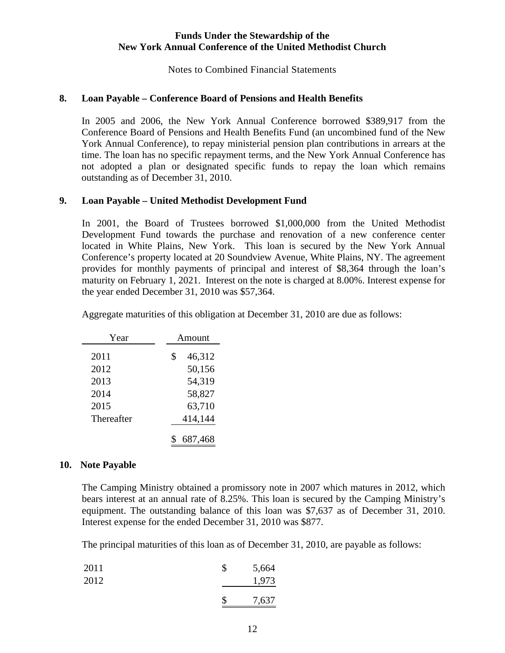Notes to Combined Financial Statements

#### **8. Loan Payable – Conference Board of Pensions and Health Benefits**

In 2005 and 2006, the New York Annual Conference borrowed \$389,917 from the Conference Board of Pensions and Health Benefits Fund (an uncombined fund of the New York Annual Conference), to repay ministerial pension plan contributions in arrears at the time. The loan has no specific repayment terms, and the New York Annual Conference has not adopted a plan or designated specific funds to repay the loan which remains outstanding as of December 31, 2010.

#### **9. Loan Payable – United Methodist Development Fund**

In 2001, the Board of Trustees borrowed \$1,000,000 from the United Methodist Development Fund towards the purchase and renovation of a new conference center located in White Plains, New York. This loan is secured by the New York Annual Conference's property located at 20 Soundview Avenue, White Plains, NY. The agreement provides for monthly payments of principal and interest of \$8,364 through the loan's maturity on February 1, 2021. Interest on the note is charged at 8.00%. Interest expense for the year ended December 31, 2010 was \$57,364.

Aggregate maturities of this obligation at December 31, 2010 are due as follows:

| Year         | Amount                 |
|--------------|------------------------|
| 2011<br>2012 | \$<br>46,312<br>50,156 |
| 2013         | 54,319                 |
| 2014         | 58,827                 |
| 2015         | 63,710                 |
| Thereafter   | 414,144                |
|              | 687,468                |

#### **10. Note Payable**

The Camping Ministry obtained a promissory note in 2007 which matures in 2012, which bears interest at an annual rate of 8.25%. This loan is secured by the Camping Ministry's equipment. The outstanding balance of this loan was \$7,637 as of December 31, 2010. Interest expense for the ended December 31, 2010 was \$877.

The principal maturities of this loan as of December 31, 2010, are payable as follows:

$$
\begin{array}{cccc}\n2011 & & & \text{\$} & 5,664 \\
2012 & & & 1,973\n\end{array}
$$

$$
\frac{\$}{7,637}
$$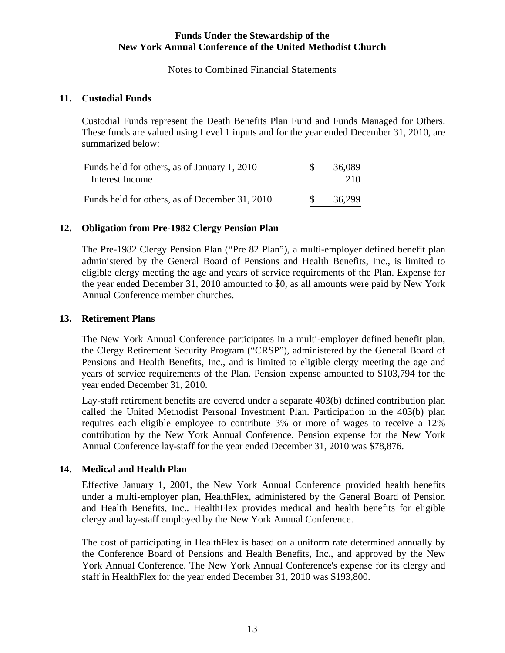Notes to Combined Financial Statements

#### **11. Custodial Funds**

Custodial Funds represent the Death Benefits Plan Fund and Funds Managed for Others. These funds are valued using Level 1 inputs and for the year ended December 31, 2010, are summarized below:

| Funds held for others, as of January 1, 2010   | 36,089 |
|------------------------------------------------|--------|
| Interest Income                                | 210    |
| Funds held for others, as of December 31, 2010 | 36,299 |

#### **12. Obligation from Pre-1982 Clergy Pension Plan**

The Pre-1982 Clergy Pension Plan ("Pre 82 Plan"), a multi-employer defined benefit plan administered by the General Board of Pensions and Health Benefits, Inc., is limited to eligible clergy meeting the age and years of service requirements of the Plan. Expense for the year ended December 31, 2010 amounted to \$0, as all amounts were paid by New York Annual Conference member churches.

#### **13. Retirement Plans**

The New York Annual Conference participates in a multi-employer defined benefit plan, the Clergy Retirement Security Program ("CRSP"), administered by the General Board of Pensions and Health Benefits, Inc., and is limited to eligible clergy meeting the age and years of service requirements of the Plan. Pension expense amounted to \$103,794 for the year ended December 31, 2010.

Lay-staff retirement benefits are covered under a separate 403(b) defined contribution plan called the United Methodist Personal Investment Plan. Participation in the 403(b) plan requires each eligible employee to contribute 3% or more of wages to receive a 12% contribution by the New York Annual Conference. Pension expense for the New York Annual Conference lay-staff for the year ended December 31, 2010 was \$78,876.

#### **14. Medical and Health Plan**

Effective January 1, 2001, the New York Annual Conference provided health benefits under a multi-employer plan, HealthFlex, administered by the General Board of Pension and Health Benefits, Inc.. HealthFlex provides medical and health benefits for eligible clergy and lay-staff employed by the New York Annual Conference.

The cost of participating in HealthFlex is based on a uniform rate determined annually by the Conference Board of Pensions and Health Benefits, Inc., and approved by the New York Annual Conference. The New York Annual Conference's expense for its clergy and staff in HealthFlex for the year ended December 31, 2010 was \$193,800.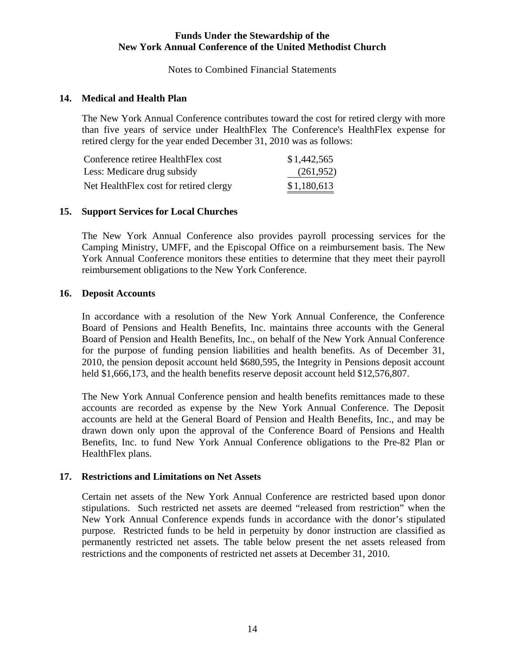Notes to Combined Financial Statements

#### **14. Medical and Health Plan**

The New York Annual Conference contributes toward the cost for retired clergy with more than five years of service under HealthFlex The Conference's HealthFlex expense for retired clergy for the year ended December 31, 2010 was as follows:

| Conference retiree HealthFlex cost      | \$1,442,565 |
|-----------------------------------------|-------------|
| Less: Medicare drug subsidy             | (261, 952)  |
| Net Health Flex cost for retired clergy | \$1,180,613 |

#### **15. Support Services for Local Churches**

The New York Annual Conference also provides payroll processing services for the Camping Ministry, UMFF, and the Episcopal Office on a reimbursement basis. The New York Annual Conference monitors these entities to determine that they meet their payroll reimbursement obligations to the New York Conference.

#### **16. Deposit Accounts**

In accordance with a resolution of the New York Annual Conference, the Conference Board of Pensions and Health Benefits, Inc. maintains three accounts with the General Board of Pension and Health Benefits, Inc., on behalf of the New York Annual Conference for the purpose of funding pension liabilities and health benefits. As of December 31, 2010, the pension deposit account held \$680,595, the Integrity in Pensions deposit account held \$1,666,173, and the health benefits reserve deposit account held \$12,576,807.

The New York Annual Conference pension and health benefits remittances made to these accounts are recorded as expense by the New York Annual Conference. The Deposit accounts are held at the General Board of Pension and Health Benefits, Inc., and may be drawn down only upon the approval of the Conference Board of Pensions and Health Benefits, Inc. to fund New York Annual Conference obligations to the Pre-82 Plan or HealthFlex plans.

#### **17. Restrictions and Limitations on Net Assets**

Certain net assets of the New York Annual Conference are restricted based upon donor stipulations. Such restricted net assets are deemed "released from restriction" when the New York Annual Conference expends funds in accordance with the donor's stipulated purpose. Restricted funds to be held in perpetuity by donor instruction are classified as permanently restricted net assets. The table below present the net assets released from restrictions and the components of restricted net assets at December 31, 2010.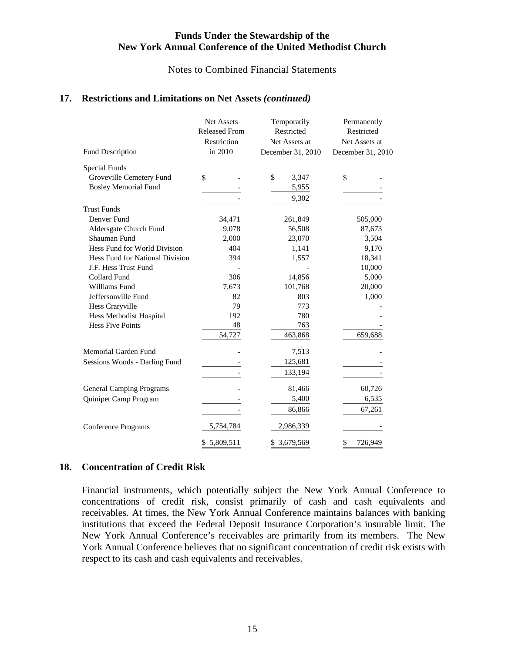Notes to Combined Financial Statements

#### **17. Restrictions and Limitations on Net Assets** *(continued)*

| <b>Fund Description</b>         | <b>Net Assets</b><br><b>Released From</b><br>Restriction<br>in 2010 | Temporarily<br>Restricted<br>Net Assets at<br>December 31, 2010 | Permanently<br>Restricted<br>Net Assets at<br>December 31, 2010 |
|---------------------------------|---------------------------------------------------------------------|-----------------------------------------------------------------|-----------------------------------------------------------------|
| <b>Special Funds</b>            |                                                                     |                                                                 |                                                                 |
| Groveville Cemetery Fund        | \$                                                                  | \$<br>3,347                                                     | \$                                                              |
| <b>Bosley Memorial Fund</b>     |                                                                     | 5,955                                                           |                                                                 |
|                                 |                                                                     | 9,302                                                           |                                                                 |
| <b>Trust Funds</b>              |                                                                     |                                                                 |                                                                 |
| Denver Fund                     | 34,471                                                              | 261,849                                                         | 505,000                                                         |
| Aldersgate Church Fund          | 9,078                                                               | 56,508                                                          | 87,673                                                          |
| Shauman Fund                    | 2,000                                                               | 23,070                                                          | 3,504                                                           |
| Hess Fund for World Division    | 404                                                                 | 1,141                                                           | 9,170                                                           |
| Hess Fund for National Division | 394                                                                 | 1,557                                                           | 18,341                                                          |
| J.F. Hess Trust Fund            |                                                                     |                                                                 | 10,000                                                          |
| <b>Collard Fund</b>             | 306                                                                 | 14,856                                                          | 5,000                                                           |
| Williams Fund                   | 7,673                                                               | 101,768                                                         | 20,000                                                          |
| Jeffersonville Fund             | 82                                                                  | 803                                                             | 1,000                                                           |
| Hess Craryville                 | 79                                                                  | 773                                                             |                                                                 |
| Hess Methodist Hospital         | 192                                                                 | 780                                                             |                                                                 |
| <b>Hess Five Points</b>         | 48                                                                  | 763                                                             |                                                                 |
|                                 | 54,727                                                              | 463,868                                                         | 659,688                                                         |
| Memorial Garden Fund            |                                                                     | 7,513                                                           |                                                                 |
| Sessions Woods - Darling Fund   |                                                                     | 125,681                                                         |                                                                 |
|                                 |                                                                     | 133,194                                                         |                                                                 |
| <b>General Camping Programs</b> |                                                                     | 81,466                                                          | 60,726                                                          |
| Quinipet Camp Program           |                                                                     | 5,400                                                           | 6,535                                                           |
|                                 |                                                                     | 86,866                                                          | 67,261                                                          |
| <b>Conference Programs</b>      | 5,754,784                                                           | 2,986,339                                                       |                                                                 |
|                                 | \$5,809,511                                                         | \$3,679,569                                                     | \$<br>726,949                                                   |

#### **18. Concentration of Credit Risk**

Financial instruments, which potentially subject the New York Annual Conference to concentrations of credit risk, consist primarily of cash and cash equivalents and receivables. At times, the New York Annual Conference maintains balances with banking institutions that exceed the Federal Deposit Insurance Corporation's insurable limit. The New York Annual Conference's receivables are primarily from its members. The New York Annual Conference believes that no significant concentration of credit risk exists with respect to its cash and cash equivalents and receivables.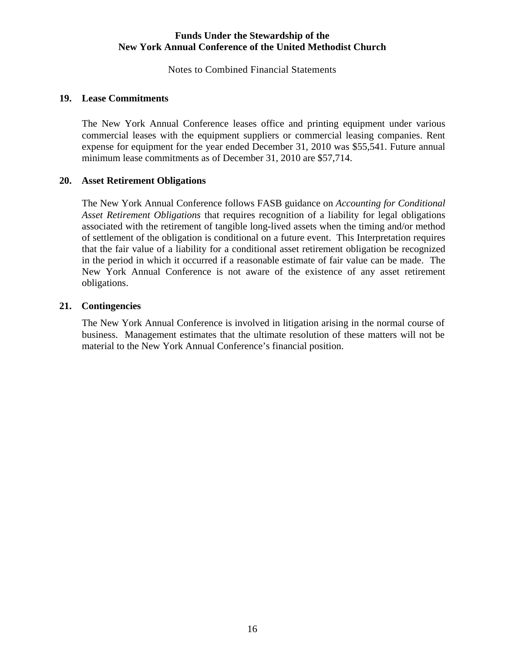Notes to Combined Financial Statements

#### **19. Lease Commitments**

The New York Annual Conference leases office and printing equipment under various commercial leases with the equipment suppliers or commercial leasing companies. Rent expense for equipment for the year ended December 31, 2010 was \$55,541. Future annual minimum lease commitments as of December 31, 2010 are \$57,714.

#### **20. Asset Retirement Obligations**

The New York Annual Conference follows FASB guidance on *Accounting for Conditional Asset Retirement Obligations* that requires recognition of a liability for legal obligations associated with the retirement of tangible long-lived assets when the timing and/or method of settlement of the obligation is conditional on a future event. This Interpretation requires that the fair value of a liability for a conditional asset retirement obligation be recognized in the period in which it occurred if a reasonable estimate of fair value can be made. The New York Annual Conference is not aware of the existence of any asset retirement obligations.

#### **21. Contingencies**

The New York Annual Conference is involved in litigation arising in the normal course of business. Management estimates that the ultimate resolution of these matters will not be material to the New York Annual Conference's financial position.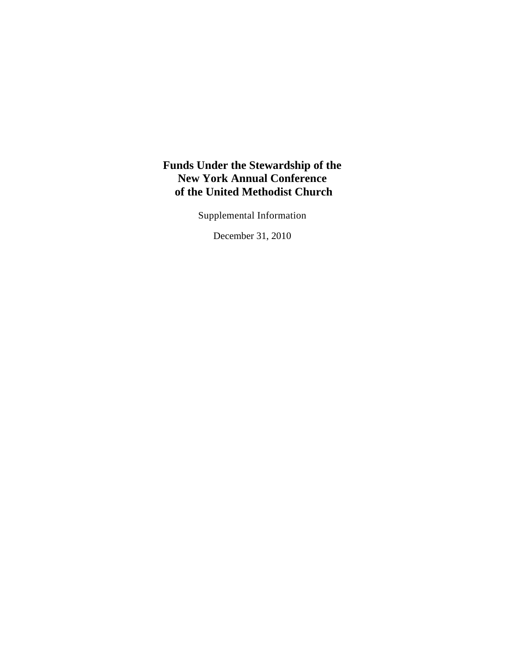Supplemental Information

December 31, 2010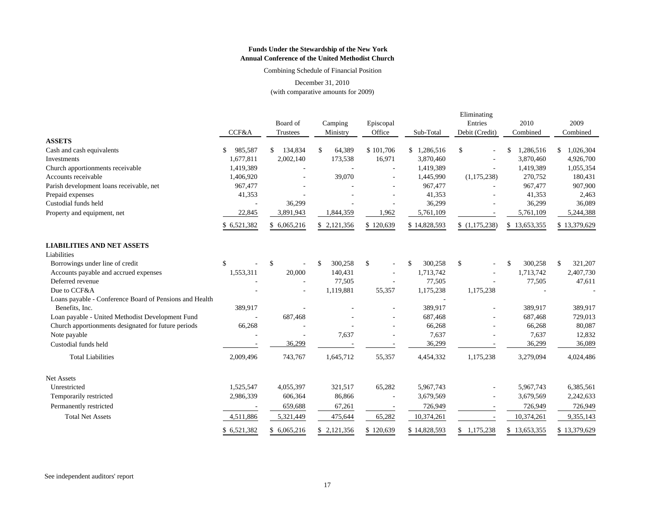Combining Schedule of Financial Position

December 31, 2010 (with comparative amounts for 2009)

|                                                         |             | Board of      | Camping                | Episcopal    |               | Eliminating<br>Entries | 2010                     | 2009                    |
|---------------------------------------------------------|-------------|---------------|------------------------|--------------|---------------|------------------------|--------------------------|-------------------------|
| <b>ASSETS</b>                                           | CCF&A       | Trustees      | Ministry               | Office       | Sub-Total     | Debit (Credit)         | Combined                 | Combined                |
| Cash and cash equivalents                               | 985,587     | 134,834<br>\$ | $\mathbb{S}$<br>64,389 | \$101,706    | \$1,286,516   | $\mathbb{S}$           | 1,286,516<br>S           | 1,026,304<br>\$         |
| Investments                                             | 1,677,811   | 2,002,140     | 173,538                | 16,971       | 3,870,460     |                        | 3,870,460                | 4,926,700               |
| Church apportionments receivable                        | 1,419,389   |               |                        | ÷.           | 1,419,389     | $\sim$                 | 1,419,389                | 1,055,354               |
| Accounts receivable                                     | 1,406,920   |               | 39,070                 |              | 1,445,990     | (1, 175, 238)          | 270,752                  | 180,431                 |
| Parish development loans receivable, net                | 967,477     |               |                        |              | 967,477       |                        | 967,477                  | 907,900                 |
| Prepaid expenses                                        | 41,353      |               |                        |              | 41,353        |                        | 41,353                   | 2,463                   |
| Custodial funds held                                    |             | 36,299        |                        |              | 36,299        |                        | 36,299                   | 36,089                  |
| Property and equipment, net                             | 22,845      | 3,891,943     | 1,844,359              | 1,962        | 5,761,109     |                        | 5,761,109                | 5,244,388               |
|                                                         | \$6,521,382 | \$6,065,216   | \$ 2,121,356           | \$120,639    | \$14,828,593  | \$(1,175,238)          | \$13,653,355             | \$13,379,629            |
| <b>LIABILITIES AND NET ASSETS</b>                       |             |               |                        |              |               |                        |                          |                         |
| Liabilities                                             |             |               |                        |              |               |                        |                          |                         |
| Borrowings under line of credit                         | \$          | <sup>\$</sup> | \$.<br>300,258         | \$<br>$\sim$ | \$<br>300,258 | \$<br>$\sim$           | $\mathcal{S}$<br>300,258 | $\mathbb{S}$<br>321,207 |
| Accounts payable and accrued expenses                   | 1,553,311   | 20,000        | 140,431                | ÷.           | 1,713,742     |                        | 1,713,742                | 2,407,730               |
| Deferred revenue                                        |             |               | 77,505                 | $\sim$       | 77,505        |                        | 77,505                   | 47,611                  |
| Due to CCF&A                                            |             |               | 1,119,881              | 55,357       | 1,175,238     | 1,175,238              |                          |                         |
| Loans payable - Conference Board of Pensions and Health |             |               |                        |              |               |                        |                          |                         |
| Benefits, Inc.                                          | 389,917     |               |                        |              | 389,917       |                        | 389,917                  | 389,917                 |
| Loan payable - United Methodist Development Fund        |             | 687,468       |                        |              | 687,468       |                        | 687,468                  | 729,013                 |
| Church apportionments designated for future periods     | 66,268      |               |                        |              | 66,268        |                        | 66,268                   | 80,087                  |
| Note payable                                            |             |               | 7,637                  |              | 7,637         |                        | 7,637                    | 12,832                  |
| Custodial funds held                                    |             | 36,299        |                        |              | 36,299        |                        | 36,299                   | 36,089                  |
| <b>Total Liabilities</b>                                | 2,009,496   | 743,767       | 1,645,712              | 55,357       | 4,454,332     | 1,175,238              | 3,279,094                | 4,024,486               |
| Net Assets                                              |             |               |                        |              |               |                        |                          |                         |
| Unrestricted                                            | 1,525,547   | 4,055,397     | 321,517                | 65,282       | 5,967,743     |                        | 5,967,743                | 6,385,561               |
| Temporarily restricted                                  | 2,986,339   | 606,364       | 86,866                 |              | 3,679,569     | $\sim$                 | 3,679,569                | 2,242,633               |
| Permanently restricted                                  |             | 659,688       | 67,261                 |              | 726,949       |                        | 726,949                  | 726,949                 |
| <b>Total Net Assets</b>                                 | 4,511,886   | 5,321,449     | 475,644                | 65,282       | 10,374,261    |                        | 10,374,261               | 9,355,143               |
|                                                         | \$6,521,382 | \$6,065,216   | \$2,121,356            | \$120,639    | \$14,828,593  | \$1,175,238            | \$13,653,355             | \$13,379,629            |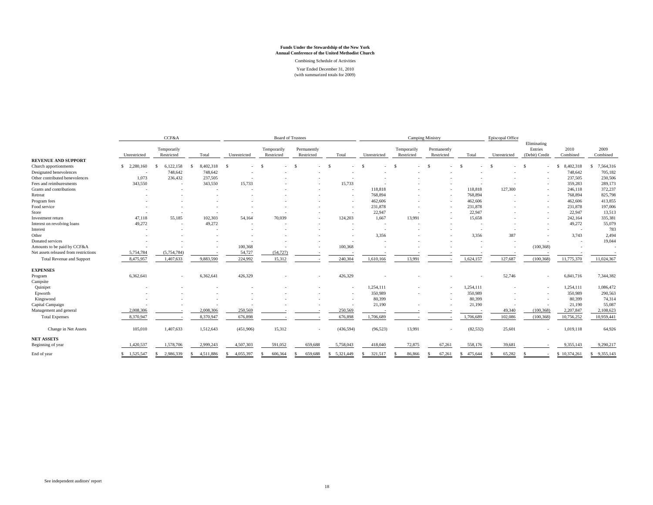Combining Schedule of Activities

Year Ended December 31, 2010 (with summarized totals for 2009)

|                                       |                  | CCF&A       |           |              | <b>Board of Trustees</b> |                           |           |                          |                           | <b>Camping Ministry</b>   |           | Episcopal Office |                                          |                  |                  |
|---------------------------------------|------------------|-------------|-----------|--------------|--------------------------|---------------------------|-----------|--------------------------|---------------------------|---------------------------|-----------|------------------|------------------------------------------|------------------|------------------|
|                                       |                  | Temporarily | Total     | Unrestricted | Temporarily              | Permanently<br>Restricted | Total     | Unrestricted             | Temporarily<br>Restricted | Permanently<br>Restricted | Total     |                  | Eliminating<br>Entries<br>(Debit) Credit | 2010<br>Combined | 2009<br>Combined |
| <b>REVENUE AND SUPPORT</b>            | Unrestricted     | Restricted  |           |              | Restricted               |                           |           |                          |                           |                           |           | Unrestricted     |                                          |                  |                  |
| Church apportionments                 | 2.280,160<br>\$. | 6,122,158   | 8,402,318 |              |                          |                           | -S        | $\mathbf{C}$             | -S                        | $\mathcal{S}$             |           |                  | $\mathcal{L}$                            | 8,402,318<br>-S  | 7,564,316        |
| Designated benevolences               |                  | 748,642     | 748,642   |              |                          |                           |           |                          |                           |                           |           |                  |                                          | 748,642          | 705,182          |
| Other contributed benevolences        | 1,073            | 236,432     | 237,505   |              |                          |                           |           |                          |                           |                           |           |                  |                                          | 237,505          | 230,506          |
| Fees and reimburesments               | 343,550          |             | 343,550   | 15,733       |                          |                           | 15,733    |                          |                           |                           |           |                  |                                          | 359,283          | 289,173          |
| Grants and contributions              |                  |             |           |              |                          |                           |           | 118,818                  |                           | $\sim$                    | 118,818   | 127,300          |                                          | 246,118          | 372,237          |
| Retreat                               |                  |             |           |              |                          |                           |           | 768,894                  |                           | $\sim$                    | 768,894   |                  | $\sim$                                   | 768,894          | 825,798          |
| Program fees                          |                  |             |           |              |                          |                           |           | 462,606                  |                           | $\sim$                    | 462,606   |                  | $\sim$                                   | 462,606          | 413,855          |
| Food service                          |                  |             |           |              |                          |                           |           | 231,878                  |                           | $\sim$                    | 231,878   |                  | $\sim$                                   | 231,878          | 197,006          |
| Store                                 |                  |             |           |              |                          |                           |           | 22,947                   |                           |                           | 22,947    |                  |                                          | 22,947           | 13,513           |
| Investment return                     | 47,118           | 55,185      | 102,303   | 54,164       | 70.039                   |                           | 124,203   | 1,667                    | 13,991                    |                           | 15,658    |                  |                                          | 242,164          | 335,381          |
| Interest on revolving loans           | 49,272           |             | 49.272    |              |                          |                           |           | $\overline{\phantom{a}}$ |                           |                           |           |                  |                                          | 49,272           | 55,079           |
| Interest                              |                  |             |           |              |                          |                           |           |                          |                           |                           |           |                  |                                          |                  | 783              |
| Other                                 |                  |             |           |              |                          |                           |           | 3,356                    |                           |                           | 3,356     | 387              |                                          | 3,743            | 2,494            |
| Donated services                      |                  |             |           |              |                          |                           |           |                          |                           |                           |           |                  |                                          |                  | 19,044           |
| Amounts to be paid by CCF&A           |                  |             |           | 100,368      |                          |                           | 100,368   |                          |                           |                           |           |                  | (100, 368)                               |                  |                  |
| Net assets released from restrictions | 5,754,784        | (5,754,784) |           | 54,727       | (54, 727)                |                           |           |                          |                           |                           |           |                  |                                          |                  |                  |
| <b>Total Revenue and Support</b>      | 8,475,957        | 1,407,633   | 9,883,590 | 224,992      | 15,312                   |                           | 240,304   | 1,610,166                | 13,991                    |                           | 1,624,157 | 127,687          | (100, 368)                               | 11,775,370       | 11,024,367       |
| <b>EXPENSES</b>                       |                  |             |           |              |                          |                           |           |                          |                           |                           |           |                  |                                          |                  |                  |
| Program                               | 6,362,641        | $\sim$      | 6,362,641 | 426,329      |                          |                           | 426,329   |                          |                           |                           |           | 52,746           | ۰.                                       | 6,841,716        | 7,344,382        |
| Campsite                              |                  |             |           |              |                          |                           |           |                          |                           |                           |           |                  |                                          |                  |                  |
| Quinipet                              |                  |             |           |              |                          |                           |           | 1,254,111                |                           |                           | 1,254,111 |                  |                                          | 1,254,111        | 1,086,472        |
| Epworth                               |                  |             |           |              |                          |                           |           | 350,989                  |                           |                           | 350,989   |                  |                                          | 350,989          | 290,563          |
| Kingswood                             |                  |             |           |              |                          |                           |           | 80,399                   |                           |                           | 80,399    |                  |                                          | 80,399           | 74,314           |
| Capital Campaign                      |                  |             |           |              |                          |                           |           | 21,190                   |                           |                           | 21,190    |                  |                                          | 21,190           | 55,087           |
| Management and general                | 2.008.306        |             | 2,008,306 | 250,569      |                          |                           | 250,569   |                          |                           |                           |           | 49,340           | (100, 368)                               | 2,207,847        | 2,108,623        |
| <b>Total Expenses</b>                 | 8,370,947        |             | 8,370,947 | 676,898      |                          |                           | 676,898   | 1,706,689                |                           |                           | 1,706,689 | 102,086          | (100, 368)                               | 10,756,252       | 10,959,441       |
| Change in Net Assets                  | 105,010          | 1,407,633   | 1,512,643 | (451,906)    | 15,312                   |                           | (436,594) | (96, 523)                | 13,991                    |                           | (82, 532) | 25,601           |                                          | 1,019,118        | 64,926           |
| <b>NET ASSETS</b>                     |                  |             |           |              |                          |                           |           |                          |                           |                           |           |                  |                                          |                  |                  |
| Beginning of year                     | 1,420,537        | 1,578,706   | 2,999,243 | 4,507,303    | 591,052                  | 659,688                   | 5,758,043 | 418,040                  | 72,875                    | 67,261                    | 558,176   | 39,681           |                                          | 9,355,143        | 9,290,217        |
| End of year                           | 1,525,547        | 2,986,339   | 4,511,886 | 4,055,397    | 606,364                  | 659,688                   | 5,321,449 | 321,517                  | 86,866                    | 67,261                    | 475,644   | 65,282           |                                          | \$10,374,261     | 9,355,143<br>S.  |